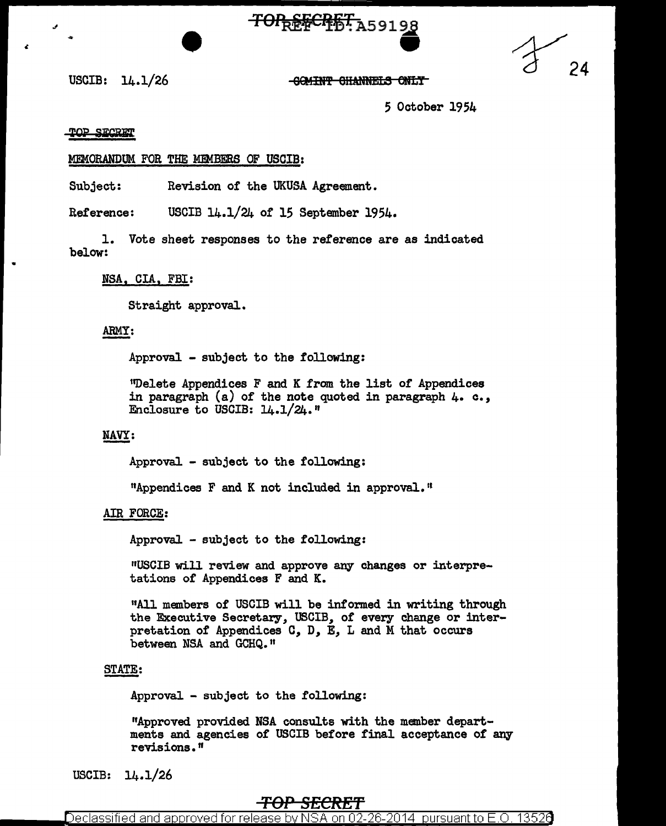# TOP<sub>REF</sub>CPET: A59198



5 October 1954

#### TOP SECRET

USCIB: 14.1/26

•

#### MEMORANDUM FOR THE MEMBERS OF USCIB:

Subject: Revision of the UKUSA Agreement.

Reference: USCIB 14.1/24 of 15 September 1954.

1. Vote sheet responses to the reference are as indicated below:

### NSA, CIA, FBI:

Straight approval.

### ARMY:

Approval - subject to the following:

1 'Delete Appendices F and K from the list of Appendices in paragraph (a) of the note quoted in paragraph 4. c., Enclosure to USCIB: 14.1/24."

## NAVY:

Approval - subject to the following:

HAppendices F and K not included in approval. ''

#### AIR FORCE:

Approval - subject to the following:

"USCIB will review and approve any changes or interpretations of Appendices F and K.

11All members of USCIB will be informed in writing through the Executive Secretary, USCIB, of every change or interpretation of Appendices C, D, E, L and M that occurs between NSA and GCHQ."

#### STATE:

Approval - subject to the following:

11Approved provided NSA consults with the member departments and agencies of USCIB before final acceptance of any revisions.<sup>n</sup>

USCIB: 14.1/26

# **TOP SECRET**

Declassified and approved for release by NSA on 02-26-2014  $\,$  pursuant to E.O. 1352 $6$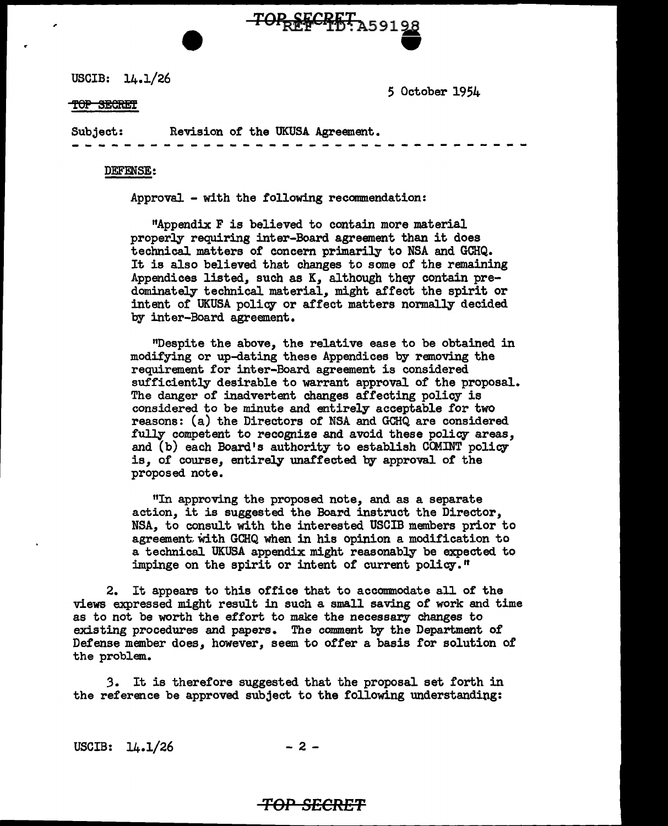USCIB: 14.1/26

5 October 1954

#### TOP SECRET

Subject: Revision of the UKUSA Agreement. ---- --- - - - --- --- - -- - - -- - -- -- - <sup>~</sup>- -- --

TOPREFCHETA59198

#### DEFENSE:

Approval - with the following recommendation:

"Appendix F is believed to contain more material properly requiring inter-Board agreement than it does technical matters of concern primarily to NSA and GCHQ. It is also believed that changes to some of the remaining Appendices listed, such as K, although they contain predominately technical material, might affect the spirit or intent of UKUSA policy or affect matters normally decided by inter-Board agreement.

"Despite the above, the relative ease to be obtained in modifying or up-dating these Appendices by removing the requirement for inter-Board agreement is considered sufficiently desirable to warrant approval of the proposal. The danger of inadvertent changes affecting policy is considered to be minute and entirely acceptable for two reasons: (a) the Directors of NSA and GCHQ are considered fully competent to recognize and avoid these policy areas, and (b) each Board's authority to establish CCMINT policy is, of course, entirely unaffected by approval of the proposed note.

"In approving the proposed note, and as a separate action, it is suggested the Board instruct the Director, NSA, to consult with the interested USCIB members prior to agreement, With GCHQ when in his opinion a modification to a technical UKUSA appendix might reasonably be expected to impinge on the spirit or intent of current policy."

2. It appears to this office that to accommodate all of the views expressed might result in such a small saving of work and time as to not be worth the effort to make the necessary changes to existing procedures and papers. The comment by the Department of Defense member does, however, seem to offer a basis for solution of the problem..

3. It is therefore suggested that the proposal set forth in the reference be approved subject to the following understanding:

USCIB:  $14.1/26$  - 2 -

# *TOP* **SECRET**